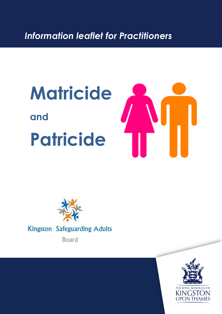*Information leaflet for Practitioners*

# **Matricide and Patricide**





**Kingston Safeguarding Adults** 

Board

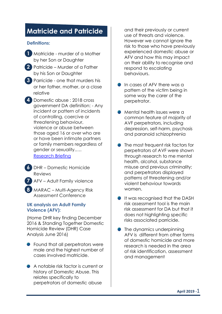# **Matricide and Patricide**

#### **Definitions:**

- **1** Matricide murder of a Mother by her Son or Daughter
- **2** Patricide Murder of a Father by his Son or Daughter
- **3** Parricide one that murders his or her father, mother, or a close relative
- **4** Domestic abuse : 2018 cross government DA definition: - Any incident or pattern of incidents of controlling, coercive or threatening behaviour, violence or abuse between those aged 16 or over who are or have been intimate partners or family members regardless of gender or sexuality.…. **5** Research Briefing
- **6** DHR Domestic Homicide Reviews
- **7** AFV Adult Family violence
- **8** MARAC Multi-Agency Risk Assessment Conference

#### **UK analysis on Adult Family Violence (AFV):**

(Home DHR key finding December 2016 & Standing Together Domestic Homicide Review (DHR) Case Analysis June 2016)

- **•** Found that all perpetrators were male and the highest number of cases involved matricide.
- A notable risk factor is current or history of Domestic Abuse. This relates specifically to perpetrators of domestic abuse

and their previously or current use of threats and violence. However we cannot ignore the risk to those who have previously experienced domestic abuse or AFV and how this may impact on their ability to recognise and respond to escalating behaviours.

- In cases of AFV there was a pattern of the victim being in some way the carer of the perpetrator.
- **Mental health issues were a** common feature of majority of AVF perpetrators, including depression, self-harm, psychosis and paranoid schizophrenia
- The most frequent risk factors for perpetrators of AVF were shown through research to me mental health, alcohol, substance misuse and previous criminality; and perpetrators displayed patterns of threatening and/or violent behaviour towards women.
- **It was recognised that the DASH** risk assessment tool is the main risk assessment for DA but that it does not highlighting specific risks associated parricide.
- The dynamics underpinning AFV is different from other forms of domestic homicide and more research is needed in the area of risk identification, assessment and management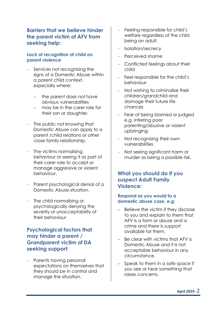## **Barriers that we believe hinder the parent victim of AFV from seeking help:**

#### **Lack of recognition of child on parent violence**

- Services not recognising the signs of a Domestic Abuse within a parent child context, especially where:
	- the parent does not have obvious vulnerabilities
	- may be in the carer role for their son or daughter.
- The public not knowing that Domestic Abuse can apply to a parent /child relations or other close family relationship.
- $-$  The victims normalising behaviour or seeing it as part of their carer role to accept or manage aggressive or violent behaviour.
- Parent psychological denial of a Domestic Abuse situation.
- The child normalising or psychologically denying the severity or unacceptability of their behaviour

# **Psychological factors that may hinder a parent / Grandparent victim of DA seeking support:**

- Parents having personal expectations on themselves that they should be in control and manage the situation.

- Feeling responsible for child's welfare regardless of the child being an adult.
- Isolation/secrecy
- Perceived shame
- Conflicted feelings about their child
- Feel responsible for the child's behaviour
- Not wishing to criminalise their children/grandchild and damage their future life chances
- Fear of being blamed or judged e.g. inferring poor parenting/abusive or violent upbringing
- Not recognising their own vulnerabilities
- Not seeing significant harm or murder as being a possible risk.

## **What you should do if you suspect Adult Family Violence:**

#### **Respond as you would to a domestic abuse case. e.g:**

- Believe the victim if they disclose to you and explain to them that AFV is a form or abuse and a crime and there is support available for them.
- Be clear with victims that AFV is Domestic Abuse and it is not acceptable behaviour in any circumstance.
- Speak to them in a safe space if you see or hear something that raises concerns.